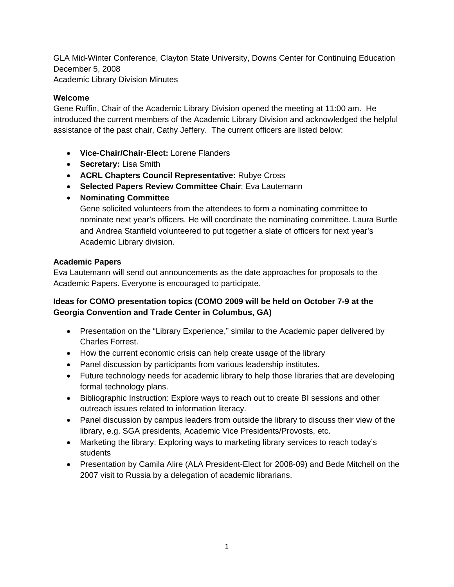GLA Mid-Winter Conference, Clayton State University, Downs Center for Continuing Education December 5, 2008 Academic Library Division Minutes

## **Welcome**

Gene Ruffin, Chair of the Academic Library Division opened the meeting at 11:00 am. He introduced the current members of the Academic Library Division and acknowledged the helpful assistance of the past chair, Cathy Jeffery. The current officers are listed below:

- **Vice-Chair/Chair-Elect:** Lorene Flanders
- **Secretary:** Lisa Smith
- **ACRL Chapters Council Representative:** Rubye Cross
- **Selected Papers Review Committee Chair**: Eva Lautemann
- **Nominating Committee**

Gene solicited volunteers from the attendees to form a nominating committee to nominate next year's officers. He will coordinate the nominating committee. Laura Burtle and Andrea Stanfield volunteered to put together a slate of officers for next year's Academic Library division.

## **Academic Papers**

Eva Lautemann will send out announcements as the date approaches for proposals to the Academic Papers. Everyone is encouraged to participate.

## **Ideas for COMO presentation topics (COMO 2009 will be held on October 7-9 at the Georgia Convention and Trade Center in Columbus, GA)**

- Presentation on the "Library Experience," similar to the Academic paper delivered by Charles Forrest.
- How the current economic crisis can help create usage of the library
- Panel discussion by participants from various leadership institutes.
- Future technology needs for academic library to help those libraries that are developing formal technology plans.
- Bibliographic Instruction: Explore ways to reach out to create BI sessions and other outreach issues related to information literacy.
- Panel discussion by campus leaders from outside the library to discuss their view of the library, e.g. SGA presidents, Academic Vice Presidents/Provosts, etc.
- Marketing the library: Exploring ways to marketing library services to reach today's students
- Presentation by Camila Alire (ALA President-Elect for 2008-09) and Bede Mitchell on the 2007 visit to Russia by a delegation of academic librarians.